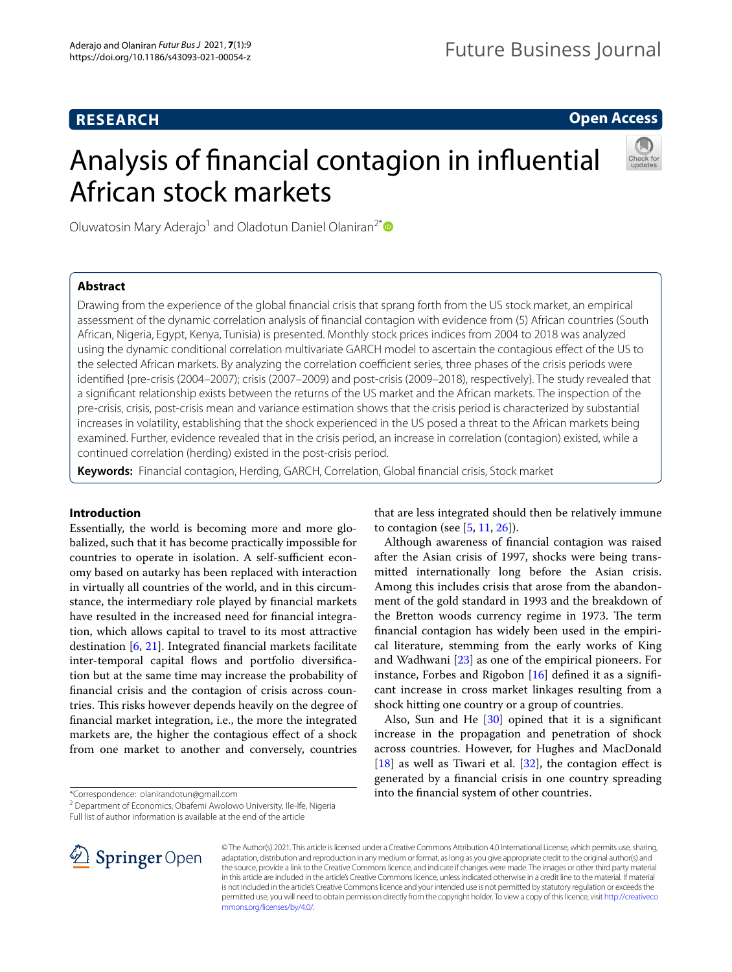# **RESEARCH**

## **Open Access**

# Analysis of fnancial contagion in infuential African stock markets



Oluwatosin Mary Aderajo<sup>1</sup> and Oladotun Daniel Olaniran<sup>2[\\*](http://orcid.org/0000-0001-5881-3117)</sup>

## **Abstract**

Drawing from the experience of the global fnancial crisis that sprang forth from the US stock market, an empirical assessment of the dynamic correlation analysis of fnancial contagion with evidence from (5) African countries (South African, Nigeria, Egypt, Kenya, Tunisia) is presented. Monthly stock prices indices from 2004 to 2018 was analyzed using the dynamic conditional correlation multivariate GARCH model to ascertain the contagious efect of the US to the selected African markets. By analyzing the correlation coefficient series, three phases of the crisis periods were identifed {pre-crisis (2004–2007); crisis (2007–2009) and post-crisis (2009–2018), respectively}. The study revealed that a signifcant relationship exists between the returns of the US market and the African markets. The inspection of the pre-crisis, crisis, post-crisis mean and variance estimation shows that the crisis period is characterized by substantial increases in volatility, establishing that the shock experienced in the US posed a threat to the African markets being examined. Further, evidence revealed that in the crisis period, an increase in correlation (contagion) existed, while a continued correlation (herding) existed in the post-crisis period.

**Keywords:** Financial contagion, Herding, GARCH, Correlation, Global fnancial crisis, Stock market

## **Introduction**

Essentially, the world is becoming more and more globalized, such that it has become practically impossible for countries to operate in isolation. A self-sufficient economy based on autarky has been replaced with interaction in virtually all countries of the world, and in this circumstance, the intermediary role played by fnancial markets have resulted in the increased need for fnancial integration, which allows capital to travel to its most attractive destination [\[6](#page-7-0), [21](#page-8-0)]. Integrated fnancial markets facilitate inter-temporal capital flows and portfolio diversification but at the same time may increase the probability of fnancial crisis and the contagion of crisis across countries. This risks however depends heavily on the degree of fnancial market integration, i.e., the more the integrated markets are, the higher the contagious efect of a shock from one market to another and conversely, countries

\*Correspondence: olanirandotun@gmail.com

<sup>2</sup> Department of Economics, Obafemi Awolowo University, Ile-Ife, Nigeria Full list of author information is available at the end of the article

SpringerOpen

that are less integrated should then be relatively immune to contagion (see  $[5, 11, 26]$  $[5, 11, 26]$  $[5, 11, 26]$  $[5, 11, 26]$  $[5, 11, 26]$ ).

Although awareness of fnancial contagion was raised after the Asian crisis of 1997, shocks were being transmitted internationally long before the Asian crisis. Among this includes crisis that arose from the abandonment of the gold standard in 1993 and the breakdown of the Bretton woods currency regime in 1973. The term fnancial contagion has widely been used in the empirical literature, stemming from the early works of King and Wadhwani [\[23](#page-8-3)] as one of the empirical pioneers. For instance, Forbes and Rigobon [\[16\]](#page-8-4) defned it as a signifcant increase in cross market linkages resulting from a shock hitting one country or a group of countries.

Also, Sun and He  $[30]$  $[30]$  opined that it is a significant increase in the propagation and penetration of shock across countries. However, for Hughes and MacDonald  $[18]$  $[18]$  as well as Tiwari et al.  $[32]$  $[32]$ , the contagion effect is generated by a fnancial crisis in one country spreading into the fnancial system of other countries.

© The Author(s) 2021. This article is licensed under a Creative Commons Attribution 4.0 International License, which permits use, sharing, adaptation, distribution and reproduction in any medium or format, as long as you give appropriate credit to the original author(s) and the source, provide a link to the Creative Commons licence, and indicate if changes were made. The images or other third party material in this article are included in the article's Creative Commons licence, unless indicated otherwise in a credit line to the material. If material is not included in the article's Creative Commons licence and your intended use is not permitted by statutory regulation or exceeds the permitted use, you will need to obtain permission directly from the copyright holder. To view a copy of this licence, visit [http://creativeco](http://creativecommons.org/licenses/by/4.0/) [mmons.org/licenses/by/4.0/.](http://creativecommons.org/licenses/by/4.0/)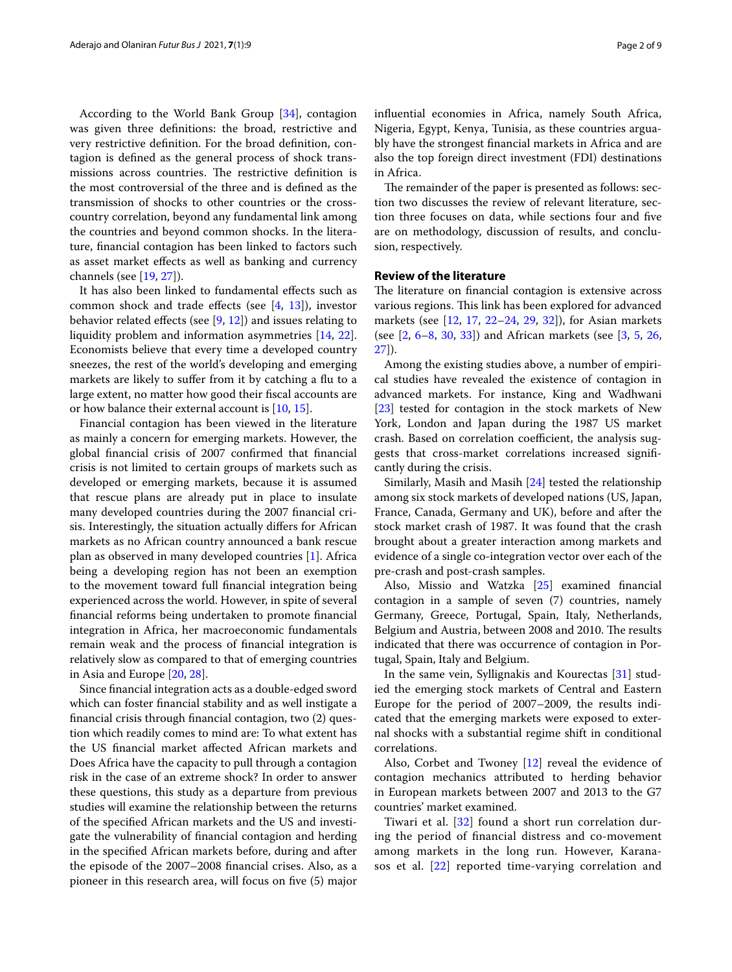According to the World Bank Group [\[34](#page-8-8)], contagion was given three defnitions: the broad, restrictive and very restrictive defnition. For the broad defnition, contagion is defned as the general process of shock transmissions across countries. The restrictive definition is the most controversial of the three and is defned as the transmission of shocks to other countries or the crosscountry correlation, beyond any fundamental link among the countries and beyond common shocks. In the literature, fnancial contagion has been linked to factors such as asset market efects as well as banking and currency channels (see [[19](#page-8-9), [27\]](#page-8-10)).

It has also been linked to fundamental efects such as common shock and trade effects (see  $[4, 13]$  $[4, 13]$  $[4, 13]$  $[4, 13]$ ), investor behavior related effects (see  $[9, 12]$  $[9, 12]$  $[9, 12]$ ) and issues relating to liquidity problem and information asymmetries [\[14,](#page-8-13) [22](#page-8-14)]. Economists believe that every time a developed country sneezes, the rest of the world's developing and emerging markets are likely to suffer from it by catching a flu to a large extent, no matter how good their fscal accounts are or how balance their external account is [[10](#page-8-15), [15\]](#page-8-16).

Financial contagion has been viewed in the literature as mainly a concern for emerging markets. However, the global fnancial crisis of 2007 confrmed that fnancial crisis is not limited to certain groups of markets such as developed or emerging markets, because it is assumed that rescue plans are already put in place to insulate many developed countries during the 2007 fnancial crisis. Interestingly, the situation actually difers for African markets as no African country announced a bank rescue plan as observed in many developed countries [\[1](#page-7-4)]. Africa being a developing region has not been an exemption to the movement toward full fnancial integration being experienced across the world. However, in spite of several fnancial reforms being undertaken to promote fnancial integration in Africa, her macroeconomic fundamentals remain weak and the process of fnancial integration is relatively slow as compared to that of emerging countries in Asia and Europe [[20,](#page-8-17) [28\]](#page-8-18).

Since fnancial integration acts as a double-edged sword which can foster fnancial stability and as well instigate a fnancial crisis through fnancial contagion, two (2) question which readily comes to mind are: To what extent has the US fnancial market afected African markets and Does Africa have the capacity to pull through a contagion risk in the case of an extreme shock? In order to answer these questions, this study as a departure from previous studies will examine the relationship between the returns of the specifed African markets and the US and investigate the vulnerability of fnancial contagion and herding in the specifed African markets before, during and after the episode of the 2007–2008 fnancial crises. Also, as a pioneer in this research area, will focus on fve (5) major infuential economies in Africa, namely South Africa, Nigeria, Egypt, Kenya, Tunisia, as these countries arguably have the strongest fnancial markets in Africa and are also the top foreign direct investment (FDI) destinations in Africa.

The remainder of the paper is presented as follows: section two discusses the review of relevant literature, section three focuses on data, while sections four and fve are on methodology, discussion of results, and conclusion, respectively.

#### **Review of the literature**

The literature on financial contagion is extensive across various regions. This link has been explored for advanced markets (see [[12,](#page-8-12) [17](#page-8-19), [22–](#page-8-14)[24](#page-8-20), [29,](#page-8-21) [32](#page-8-7)]), for Asian markets (see [\[2](#page-7-5), [6–](#page-7-0)[8,](#page-7-6) [30,](#page-8-5) [33](#page-8-22)]) and African markets (see [[3](#page-7-7), [5,](#page-7-1) [26](#page-8-2), [27\]](#page-8-10)).

Among the existing studies above, a number of empirical studies have revealed the existence of contagion in advanced markets. For instance, King and Wadhwani [[23\]](#page-8-3) tested for contagion in the stock markets of New York, London and Japan during the 1987 US market crash. Based on correlation coefficient, the analysis suggests that cross-market correlations increased signifcantly during the crisis.

Similarly, Masih and Masih [\[24\]](#page-8-20) tested the relationship among six stock markets of developed nations (US, Japan, France, Canada, Germany and UK), before and after the stock market crash of 1987. It was found that the crash brought about a greater interaction among markets and evidence of a single co-integration vector over each of the pre-crash and post-crash samples.

Also, Missio and Watzka [\[25\]](#page-8-23) examined fnancial contagion in a sample of seven (7) countries, namely Germany, Greece, Portugal, Spain, Italy, Netherlands, Belgium and Austria, between 2008 and 2010. The results indicated that there was occurrence of contagion in Portugal, Spain, Italy and Belgium.

In the same vein, Syllignakis and Kourectas [\[31\]](#page-8-24) studied the emerging stock markets of Central and Eastern Europe for the period of 2007–2009, the results indicated that the emerging markets were exposed to external shocks with a substantial regime shift in conditional correlations.

Also, Corbet and Twoney [[12](#page-8-12)] reveal the evidence of contagion mechanics attributed to herding behavior in European markets between 2007 and 2013 to the G7 countries' market examined.

Tiwari et al.  $[32]$  $[32]$  $[32]$  found a short run correlation during the period of fnancial distress and co-movement among markets in the long run. However, Karanasos et al. [\[22](#page-8-14)] reported time-varying correlation and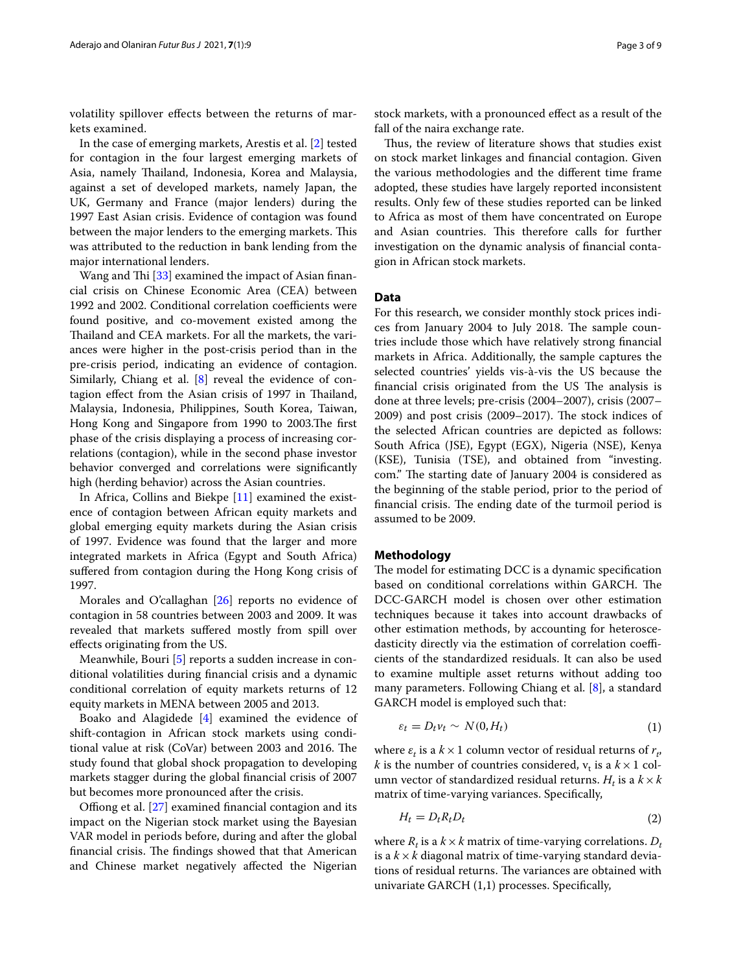volatility spillover efects between the returns of markets examined.

In the case of emerging markets, Arestis et al. [[2](#page-7-5)] tested for contagion in the four largest emerging markets of Asia, namely Thailand, Indonesia, Korea and Malaysia, against a set of developed markets, namely Japan, the UK, Germany and France (major lenders) during the 1997 East Asian crisis. Evidence of contagion was found between the major lenders to the emerging markets. This was attributed to the reduction in bank lending from the major international lenders.

Wang and Thi  $[33]$  $[33]$  examined the impact of Asian financial crisis on Chinese Economic Area (CEA) between 1992 and 2002. Conditional correlation coefficients were found positive, and co-movement existed among the Thailand and CEA markets. For all the markets, the variances were higher in the post-crisis period than in the pre-crisis period, indicating an evidence of contagion. Similarly, Chiang et al. [\[8](#page-7-6)] reveal the evidence of contagion effect from the Asian crisis of 1997 in Thailand, Malaysia, Indonesia, Philippines, South Korea, Taiwan, Hong Kong and Singapore from 1990 to 2003. The first phase of the crisis displaying a process of increasing correlations (contagion), while in the second phase investor behavior converged and correlations were signifcantly high (herding behavior) across the Asian countries.

In Africa, Collins and Biekpe [[11](#page-8-1)] examined the existence of contagion between African equity markets and global emerging equity markets during the Asian crisis of 1997. Evidence was found that the larger and more integrated markets in Africa (Egypt and South Africa) sufered from contagion during the Hong Kong crisis of 1997.

Morales and O'callaghan [[26](#page-8-2)] reports no evidence of contagion in 58 countries between 2003 and 2009. It was revealed that markets sufered mostly from spill over efects originating from the US.

Meanwhile, Bouri [\[5](#page-7-1)] reports a sudden increase in conditional volatilities during fnancial crisis and a dynamic conditional correlation of equity markets returns of 12 equity markets in MENA between 2005 and 2013.

Boako and Alagidede [\[4](#page-7-2)] examined the evidence of shift-contagion in African stock markets using conditional value at risk (CoVar) between 2003 and 2016. The study found that global shock propagation to developing markets stagger during the global fnancial crisis of 2007 but becomes more pronounced after the crisis.

Offiong et al.  $[27]$  $[27]$  examined financial contagion and its impact on the Nigerian stock market using the Bayesian VAR model in periods before, during and after the global financial crisis. The findings showed that that American and Chinese market negatively afected the Nigerian

stock markets, with a pronounced efect as a result of the fall of the naira exchange rate.

Thus, the review of literature shows that studies exist on stock market linkages and fnancial contagion. Given the various methodologies and the diferent time frame adopted, these studies have largely reported inconsistent results. Only few of these studies reported can be linked to Africa as most of them have concentrated on Europe and Asian countries. This therefore calls for further investigation on the dynamic analysis of fnancial contagion in African stock markets.

#### **Data**

For this research, we consider monthly stock prices indices from January 2004 to July 2018. The sample countries include those which have relatively strong fnancial markets in Africa. Additionally, the sample captures the selected countries' yields vis-à-vis the US because the financial crisis originated from the US The analysis is done at three levels; pre-crisis (2004–2007), crisis (2007– 2009) and post crisis (2009–2017). The stock indices of the selected African countries are depicted as follows: South Africa (JSE), Egypt (EGX), Nigeria (NSE), Kenya (KSE), Tunisia (TSE), and obtained from "investing. com." The starting date of January 2004 is considered as the beginning of the stable period, prior to the period of financial crisis. The ending date of the turmoil period is assumed to be 2009.

#### **Methodology**

The model for estimating DCC is a dynamic specification based on conditional correlations within GARCH. The DCC-GARCH model is chosen over other estimation techniques because it takes into account drawbacks of other estimation methods, by accounting for heteroscedasticity directly via the estimation of correlation coefficients of the standardized residuals. It can also be used to examine multiple asset returns without adding too many parameters. Following Chiang et al. [\[8](#page-7-6)], a standard GARCH model is employed such that:

$$
\varepsilon_t = D_t v_t \sim N(0, H_t) \tag{1}
$$

where  $\varepsilon_t$  is a  $k \times 1$  column vector of residual returns of  $r_t$ , *k* is the number of countries considered,  $v_t$  is a  $k \times 1$  column vector of standardized residual returns.  $H_t$  is a  $k \times k$ matrix of time-varying variances. Specifcally,

$$
H_t = D_t R_t D_t \tag{2}
$$

where  $R_t$  is a  $k \times k$  matrix of time-varying correlations.  $D_t$ is a  $k \times k$  diagonal matrix of time-varying standard deviations of residual returns. The variances are obtained with univariate GARCH (1,1) processes. Specifcally,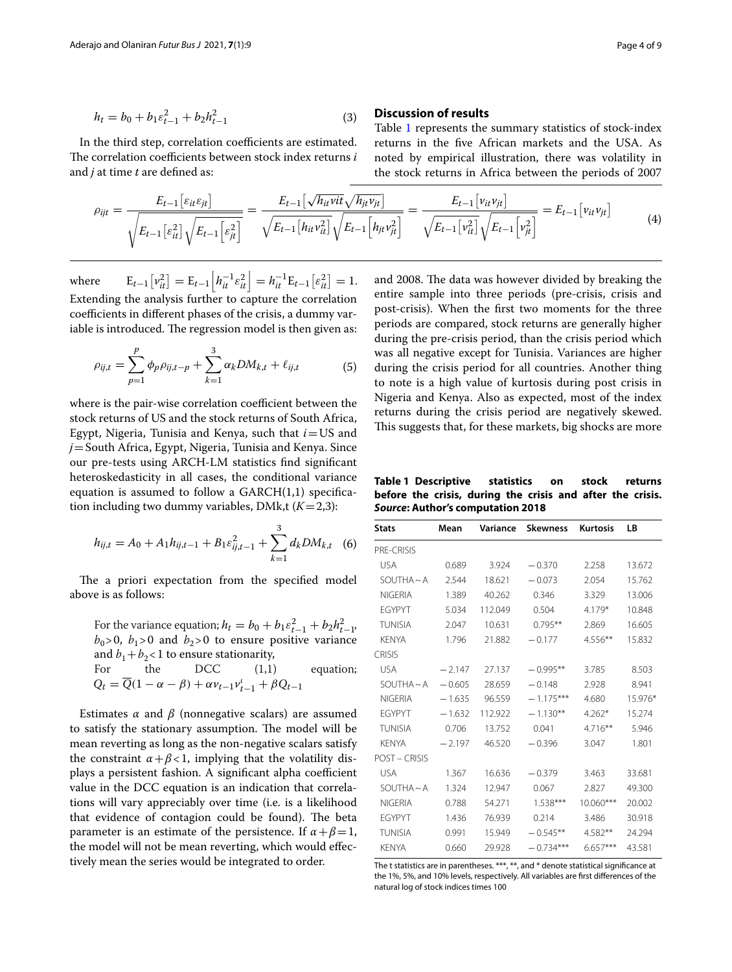$$
h_t = b_0 + b_1 \varepsilon_{t-1}^2 + b_2 h_{t-1}^2 \tag{3}
$$

In the third step, correlation coefficients are estimated. The correlation coefficients between stock index returns *i* and *j* at time *t* are defned as:

#### **Discussion of results**

Table [1](#page-3-0) represents the summary statistics of stock-index returns in the fve African markets and the USA. As noted by empirical illustration, there was volatility in the stock returns in Africa between the periods of 2007

$$
\rho_{ijt} = \frac{E_{t-1} [ \varepsilon_{it} \varepsilon_{jt} ]}{\sqrt{E_{t-1} [\varepsilon_{it}^2] \sqrt{E_{t-1} [\varepsilon_{jt}^2]}}} = \frac{E_{t-1} [\sqrt{h_{it} \nu_{it}} \sqrt{h_{jt} \nu_{jt}}]}{\sqrt{E_{t-1} [h_{it} \nu_{it}^2]} \sqrt{E_{t-1} [h_{jt} \nu_{jt}^2]}} = \frac{E_{t-1} [\nu_{it} \nu_{jt}]}{\sqrt{E_{t-1} [\nu_{it}^2]} \sqrt{E_{t-1} [\nu_{jt}^2]}} = E_{t-1} [\nu_{it} \nu_{jt}]
$$
\n(4)

where  $E_{t-1} \left[ v_{it}^2 \right] = E_{t-1} \left[ h_{it}^{-1} \varepsilon_{it}^2 \right] = h_{it}^{-1} E_{t-1} \left[ \varepsilon_{it}^2 \right] = 1.$ Extending the analysis further to capture the correlation coefficients in different phases of the crisis, a dummy variable is introduced. The regression model is then given as:

$$
\rho_{ij,t} = \sum_{p=1}^{p} \phi_p \rho_{ij,t-p} + \sum_{k=1}^{3} \alpha_k DM_{k,t} + \ell_{ij,t}
$$
(5)

where is the pair-wise correlation coefficient between the stock returns of US and the stock returns of South Africa, Egypt, Nigeria, Tunisia and Kenya, such that *i*=US and *j*=South Africa, Egypt, Nigeria, Tunisia and Kenya. Since our pre-tests using ARCH-LM statistics fnd signifcant heteroskedasticity in all cases, the conditional variance equation is assumed to follow a  $GARCH(1,1)$  specification including two dummy variables, DMk,t  $(K=2,3)$ :

$$
h_{ij,t} = A_0 + A_1 h_{ij,t-1} + B_1 \varepsilon_{ij,t-1}^2 + \sum_{k=1}^3 d_k D M_{k,t} \quad (6)
$$

The a priori expectation from the specified model above is as follows:

For the variance equation;  $h_t = b_0 + b_1 \varepsilon_{t-1}^2 + b_2 h_{t-1}^2$  $b_0$ >0,  $b_1$ >0 and  $b_2$ >0 to ensure positive variance and  $b_1+b_2$ <1 to ensure stationarity,

For the DCC (1,1) equation;  
\n
$$
Q_t = \overline{Q}(1 - \alpha - \beta) + \alpha \nu_{t-1} \nu_{t-1}^t + \beta Q_{t-1}
$$

Estimates  $\alpha$  and  $\beta$  (nonnegative scalars) are assumed to satisfy the stationary assumption. The model will be mean reverting as long as the non-negative scalars satisfy the constraint  $\alpha + \beta < 1$ , implying that the volatility displays a persistent fashion. A significant alpha coefficient value in the DCC equation is an indication that correlations will vary appreciably over time (i.e. is a likelihood that evidence of contagion could be found). The beta parameter is an estimate of the persistence. If  $\alpha + \beta = 1$ , the model will not be mean reverting, which would efectively mean the series would be integrated to order.

and 2008. The data was however divided by breaking the entire sample into three periods (pre-crisis, crisis and post-crisis). When the frst two moments for the three periods are compared, stock returns are generally higher during the pre-crisis period, than the crisis period which was all negative except for Tunisia. Variances are higher during the crisis period for all countries. Another thing to note is a high value of kurtosis during post crisis in Nigeria and Kenya. Also as expected, most of the index returns during the crisis period are negatively skewed. This suggests that, for these markets, big shocks are more

<span id="page-3-0"></span>**Table 1 Descriptive statistics on stock returns before the crisis, during the crisis and after the crisis.**  *Source***: Author's computation 2018**

| <b>Stats</b>         | Mean     | Variance | <b>Skewness</b><br><b>Kurtosis</b> |             | LB      |
|----------------------|----------|----------|------------------------------------|-------------|---------|
| PRE-CRISIS           |          |          |                                    |             |         |
| <b>USA</b>           | 0.689    | 3.924    | $-0.370$                           | 2.258       | 13.672  |
| $SOLUTION A \sim A$  | 2.544    | 18.621   | $-0.073$                           | 2.054       | 15.762  |
| <b>NIGFRIA</b>       | 1.389    | 40.262   | 0.346                              | 3.329       | 13.006  |
| <b>FGYPYT</b>        | 5.034    | 112.049  | 0.504                              | 4.179*      | 10.848  |
| <b>TUNISIA</b>       | 2.047    | 10.631   | $0.795***$                         | 2.869       | 16.605  |
| <b>KFNYA</b>         | 1.796    | 21.882   | $-0.177$                           | $4.556***$  | 15.832  |
| <b>CRISIS</b>        |          |          |                                    |             |         |
| <b>USA</b>           | $-2.147$ | 27.137   | $-0.995***$                        | 3.785       | 8.503   |
| $SOLUTION A \sim A$  | $-0.605$ | 28.659   | $-0.148$                           | 2.928       | 8.941   |
| <b>NIGFRIA</b>       | $-1.635$ | 96.559   | $-1.175***$                        | 4.680       | 15.976* |
| <b>FGYPYT</b>        | $-1.632$ | 112.922  | $-1.130**$                         | $4.262*$    | 15.274  |
| <b>TUNISIA</b>       | 0.706    | 13.752   | 0.041                              | $4.716***$  | 5.946   |
| <b>KFNYA</b>         | $-2.197$ | 46.520   | $-0.396$                           | 3.047       | 1.801   |
| <b>POST - CRISIS</b> |          |          |                                    |             |         |
| <b>USA</b>           | 1.367    | 16.636   | $-0.379$                           | 3.463       | 33.681  |
| $SOLUTION A \sim A$  | 1.324    | 12.947   | 0.067                              | 2.827       | 49.300  |
| <b>NIGFRIA</b>       | 0.788    | 54.271   | $1.538***$                         | $10.060***$ | 20.002  |
| <b>FGYPYT</b>        | 1.436    | 76.939   | 0.214                              | 3.486       | 30.918  |
| <b>TUNISIA</b>       | 0.991    | 15.949   | $-0.545**$                         | 4.582**     | 24.294  |
| <b>KFNYA</b>         | 0.660    | 29.928   | $-0.734***$                        | $6.657***$  | 43.581  |
|                      |          |          |                                    |             |         |

The t statistics are in parentheses. \*\*\*, \*\*, and \* denote statistical signifcance at the 1%, 5%, and 10% levels, respectively. All variables are frst diferences of the natural log of stock indices times 100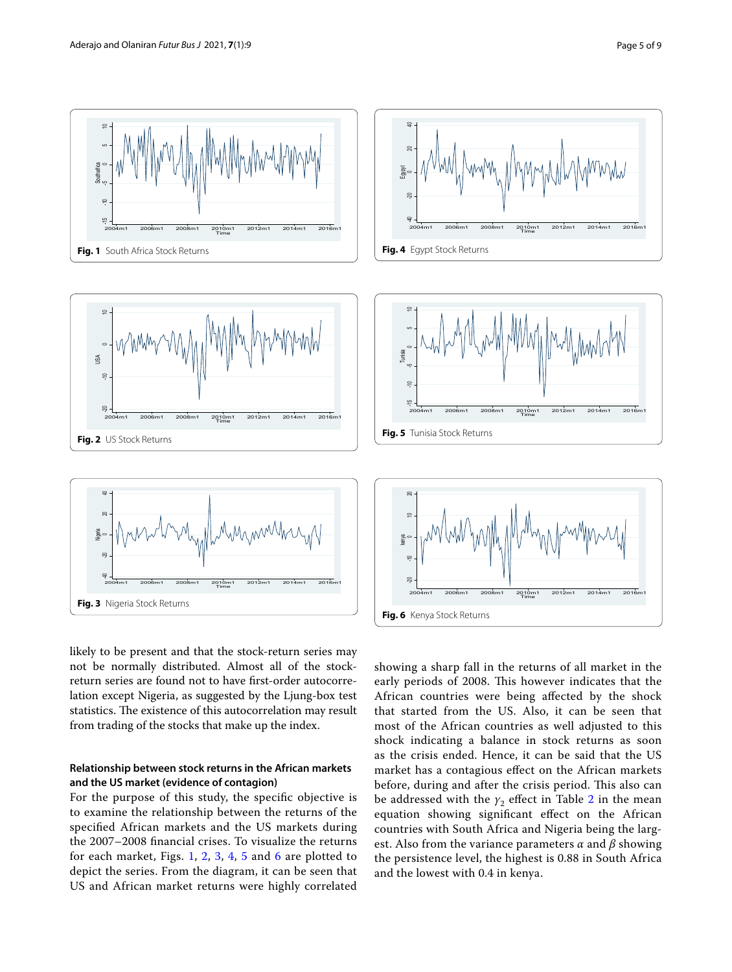<span id="page-4-3"></span><span id="page-4-0"></span>

<span id="page-4-2"></span><span id="page-4-1"></span>likely to be present and that the stock-return series may not be normally distributed. Almost all of the stockreturn series are found not to have frst-order autocorrelation except Nigeria, as suggested by the Ljung-box test statistics. The existence of this autocorrelation may result from trading of the stocks that make up the index.

## **Relationship between stock returns in the African markets and the US market (evidence of contagion)**

For the purpose of this study, the specifc objective is to examine the relationship between the returns of the specifed African markets and the US markets during the 2007–2008 fnancial crises. To visualize the returns for each market, Figs. [1](#page-4-0), [2](#page-4-1), [3,](#page-4-2) [4,](#page-4-3) [5](#page-4-4) and [6](#page-4-5) are plotted to depict the series. From the diagram, it can be seen that US and African market returns were highly correlated

<span id="page-4-5"></span><span id="page-4-4"></span>showing a sharp fall in the returns of all market in the early periods of 2008. This however indicates that the African countries were being afected by the shock that started from the US. Also, it can be seen that most of the African countries as well adjusted to this shock indicating a balance in stock returns as soon as the crisis ended. Hence, it can be said that the US market has a contagious efect on the African markets before, during and after the crisis period. This also can be addressed with the  $\gamma_2$  effect in Table [2](#page-5-0) in the mean equation showing signifcant efect on the African countries with South Africa and Nigeria being the largest. Also from the variance parameters *α* and *β* showing the persistence level, the highest is 0.88 in South Africa and the lowest with 0.4 in kenya.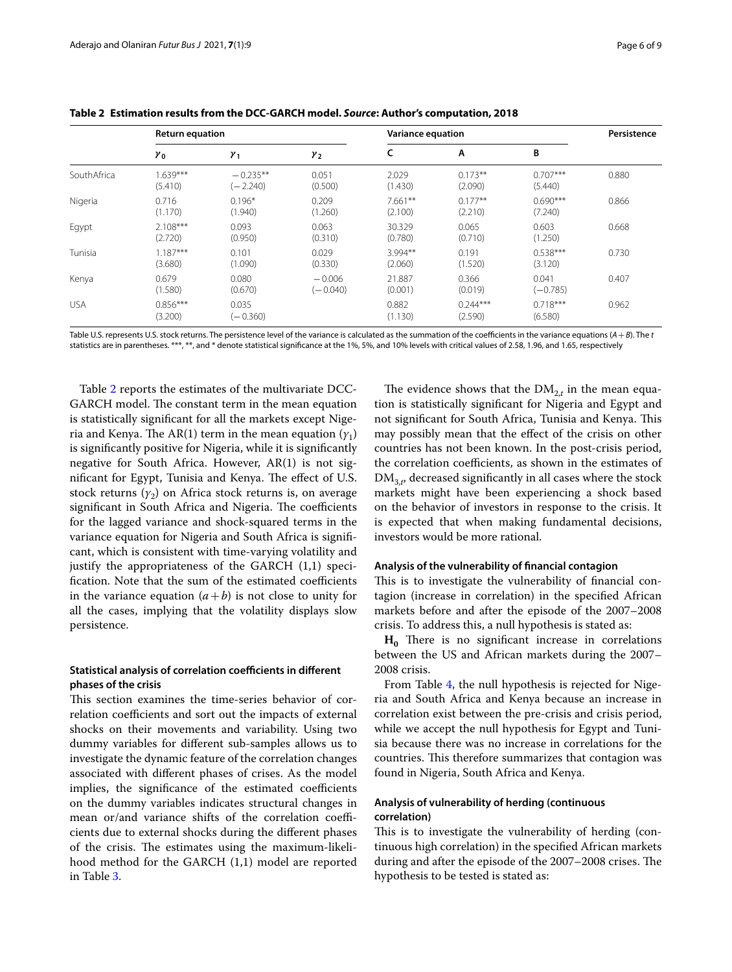|             | <b>Return equation</b> |                          |                        | <b>Variance equation</b> |                       |                       | Persistence |
|-------------|------------------------|--------------------------|------------------------|--------------------------|-----------------------|-----------------------|-------------|
|             | $\gamma_0$             | $y_1$                    | $y_{2}$                | c                        | Α                     | B                     |             |
| SouthAfrica | $.639***$<br>(5.410)   | $-0.235**$<br>$(-2.240)$ | 0.051<br>(0.500)       | 2.029<br>(1.430)         | $0.173**$<br>(2.090)  | $0.707***$<br>(5.440) | 0.880       |
| Nigeria     | 0.716<br>(1.170)       | $0.196*$<br>(1.940)      | 0.209<br>(1.260)       | $7.661**$<br>(2.100)     | $0.177**$<br>(2.210)  | $0.690***$<br>(7.240) | 0.866       |
| Egypt       | $2.108***$<br>(2.720)  | 0.093<br>(0.950)         | 0.063<br>(0.310)       | 30.329<br>(0.780)        | 0.065<br>(0.710)      | 0.603<br>(1.250)      | 0.668       |
| Tunisia     | $1.187***$<br>(3.680)  | 0.101<br>(1.090)         | 0.029<br>(0.330)       | 3.994**<br>(2.060)       | 0.191<br>(1.520)      | $0.538***$<br>(3.120) | 0.730       |
| Kenya       | 0.679<br>(1.580)       | 0.080<br>(0.670)         | $-0.006$<br>$(-0.040)$ | 21.887<br>(0.001)        | 0.366<br>(0.019)      | 0.041<br>$(-0.785)$   | 0.407       |
| <b>USA</b>  | $0.856***$<br>(3.200)  | 0.035<br>$(-0.360)$      |                        | 0.882<br>(1.130)         | $0.244***$<br>(2.590) | $0.718***$<br>(6.580) | 0.962       |

<span id="page-5-0"></span>**Table 2 Estimation results from the DCC-GARCH model.** *Source***: Author's computation, 2018**

Table U.S. represents U.S. stock returns. The persistence level of the variance is calculated as the summation of the coefficients in the variance equations  $(A + B)$ . The *t* statistics are in parentheses. \*\*\*, \*\*, and \* denote statistical signifcance at the 1%, 5%, and 10% levels with critical values of 2.58, 1.96, and 1.65, respectively

Table [2](#page-5-0) reports the estimates of the multivariate DCC-GARCH model. The constant term in the mean equation is statistically signifcant for all the markets except Nigeria and Kenya. The AR(1) term in the mean equation  $(y_1)$ is signifcantly positive for Nigeria, while it is signifcantly negative for South Africa. However, AR(1) is not significant for Egypt, Tunisia and Kenya. The effect of U.S. stock returns  $(y_2)$  on Africa stock returns is, on average significant in South Africa and Nigeria. The coefficients for the lagged variance and shock-squared terms in the variance equation for Nigeria and South Africa is signifcant, which is consistent with time-varying volatility and justify the appropriateness of the GARCH (1,1) specification. Note that the sum of the estimated coefficients in the variance equation  $(a + b)$  is not close to unity for all the cases, implying that the volatility displays slow persistence.

## **Statistical analysis of correlation coefficients in different phases of the crisis**

This section examines the time-series behavior of correlation coefficients and sort out the impacts of external shocks on their movements and variability. Using two dummy variables for diferent sub-samples allows us to investigate the dynamic feature of the correlation changes associated with diferent phases of crises. As the model implies, the significance of the estimated coefficients on the dummy variables indicates structural changes in mean or/and variance shifts of the correlation coefficients due to external shocks during the diferent phases of the crisis. The estimates using the maximum-likelihood method for the GARCH (1,1) model are reported in Table [3](#page-6-0).

The evidence shows that the  $\text{DM}_{2,t}$  in the mean equation is statistically signifcant for Nigeria and Egypt and not significant for South Africa, Tunisia and Kenya. This may possibly mean that the efect of the crisis on other countries has not been known. In the post-crisis period, the correlation coefficients, as shown in the estimates of  $\text{DM}_{3,t'}$  decreased significantly in all cases where the stock markets might have been experiencing a shock based on the behavior of investors in response to the crisis. It is expected that when making fundamental decisions, investors would be more rational.

## **Analysis of the vulnerability of fnancial contagion**

This is to investigate the vulnerability of financial contagion (increase in correlation) in the specifed African markets before and after the episode of the 2007–2008 crisis. To address this, a null hypothesis is stated as:

 $H_0$  There is no significant increase in correlations between the US and African markets during the 2007– 2008 crisis.

From Table [4](#page-6-1), the null hypothesis is rejected for Nigeria and South Africa and Kenya because an increase in correlation exist between the pre-crisis and crisis period, while we accept the null hypothesis for Egypt and Tunisia because there was no increase in correlations for the countries. This therefore summarizes that contagion was found in Nigeria, South Africa and Kenya.

## **Analysis of vulnerability of herding (continuous correlation)**

This is to investigate the vulnerability of herding (continuous high correlation) in the specifed African markets during and after the episode of the 2007–2008 crises. The hypothesis to be tested is stated as: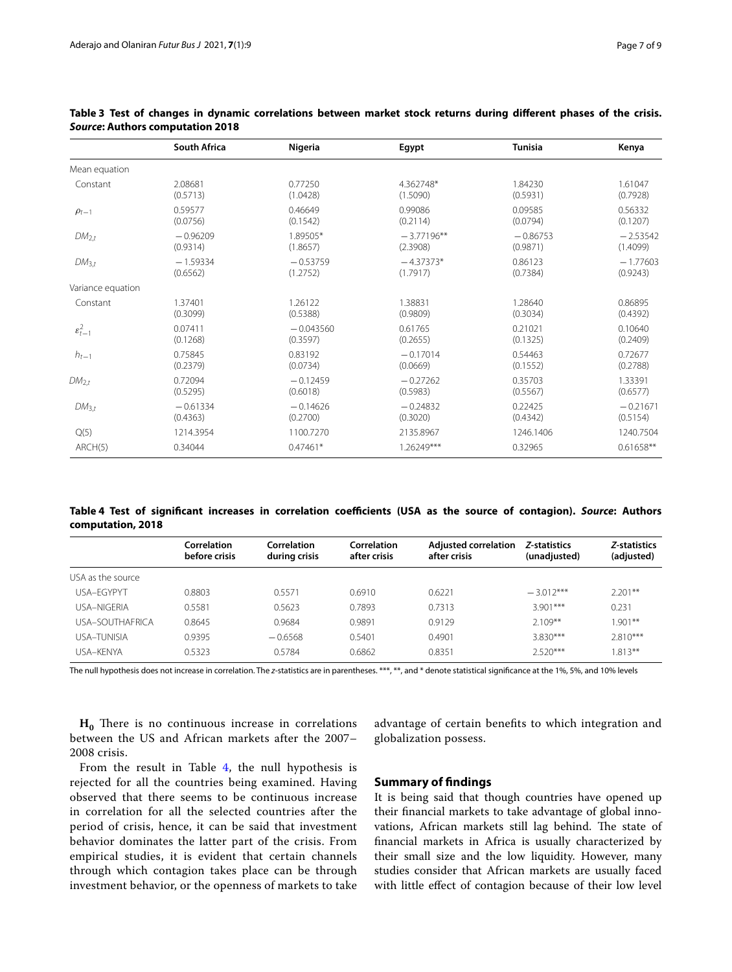|                       | South Africa | Nigeria     | Egypt        | <b>Tunisia</b> | Kenya       |
|-----------------------|--------------|-------------|--------------|----------------|-------------|
| Mean equation         |              |             |              |                |             |
| Constant              | 2.08681      | 0.77250     | 4.362748*    | 1.84230        | 1.61047     |
|                       | (0.5713)     | (1.0428)    | (1.5090)     | (0.5931)       | (0.7928)    |
| $\rho_{t-1}$          | 0.59577      | 0.46649     | 0.99086      | 0.09585        | 0.56332     |
|                       | (0.0756)     | (0.1542)    | (0.2114)     | (0.0794)       | (0.1207)    |
| $DM_{2,t}$            | $-0.96209$   | 1.89505*    | $-3.77196**$ | $-0.86753$     | $-2.53542$  |
|                       | (0.9314)     | (1.8657)    | (2.3908)     | (0.9871)       | (1.4099)    |
| $DM_{3,t}$            | $-1.59334$   | $-0.53759$  | $-4.37373*$  | 0.86123        | $-1.77603$  |
|                       | (0.6562)     | (1.2752)    | (1.7917)     | (0.7384)       | (0.9243)    |
| Variance equation     |              |             |              |                |             |
| Constant              | 1.37401      | 1.26122     | 1.38831      | 1.28640        | 0.86895     |
|                       | (0.3099)     | (0.5388)    | (0.9809)     | (0.3034)       | (0.4392)    |
| $\varepsilon_{t-1}^2$ | 0.07411      | $-0.043560$ | 0.61765      | 0.21021        | 0.10640     |
|                       | (0.1268)     | (0.3597)    | (0.2655)     | (0.1325)       | (0.2409)    |
| $h_{t-1}$             | 0.75845      | 0.83192     | $-0.17014$   | 0.54463        | 0.72677     |
|                       | (0.2379)     | (0.0734)    | (0.0669)     | (0.1552)       | (0.2788)    |
| $DM_{2,t}$            | 0.72094      | $-0.12459$  | $-0.27262$   | 0.35703        | 1.33391     |
|                       | (0.5295)     | (0.6018)    | (0.5983)     | (0.5567)       | (0.6577)    |
| $DM_{3,t}$            | $-0.61334$   | $-0.14626$  | $-0.24832$   | 0.22425        | $-0.21671$  |
|                       | (0.4363)     | (0.2700)    | (0.3020)     | (0.4342)       | (0.5154)    |
| Q(5)                  | 1214.3954    | 1100.7270   | 2135.8967    | 1246.1406      | 1240.7504   |
| ARCH(5)               | 0.34044      | $0.47461*$  | 1.26249***   | 0.32965        | $0.61658**$ |

#### <span id="page-6-0"></span>**Table 3 Test of changes in dynamic correlations between market stock returns during diferent phases of the crisis.**  *Source***: Authors computation 2018**

<span id="page-6-1"></span>**Table 4 Test of signifcant increases in correlation coefcients (USA as the source of contagion).** *Source***: Authors computation, 2018**

|                   | Correlation<br>before crisis | Correlation<br>during crisis | Correlation<br>after crisis | <b>Adjusted correlation</b><br>after crisis | Z-statistics<br>(unadjusted) | Z-statistics<br>(adjusted) |
|-------------------|------------------------------|------------------------------|-----------------------------|---------------------------------------------|------------------------------|----------------------------|
| USA as the source |                              |                              |                             |                                             |                              |                            |
| USA-FGYPYT        | 0.8803                       | 0.5571                       | 0.6910                      | 0.6221                                      | $-3.012***$                  | $2.201**$                  |
| USA-NIGERIA       | 0.5581                       | 0.5623                       | 0.7893                      | 0.7313                                      | $3.901***$                   | 0.231                      |
| USA-SOUTHAFRICA   | 0.8645                       | 0.9684                       | 0.9891                      | 0.9129                                      | $2.109**$                    | $1.901**$                  |
| USA–TUNISIA       | 0.9395                       | $-0.6568$                    | 0.5401                      | 0.4901                                      | 3.830***                     | $2.810***$                 |
| USA–KFNYA         | 0.5323                       | 0.5784                       | 0.6862                      | 0.8351                                      | $2.520***$                   | $1.813**$                  |

The null hypothesis does not increase in correlation. The *z*-statistics are in parentheses. \*\*\*, \*\*, and \* denote statistical signifcance at the 1%, 5%, and 10% levels

 $H_0$  There is no continuous increase in correlations between the US and African markets after the 2007– 2008 crisis.

From the result in Table  $4$ , the null hypothesis is rejected for all the countries being examined. Having observed that there seems to be continuous increase in correlation for all the selected countries after the period of crisis, hence, it can be said that investment behavior dominates the latter part of the crisis. From empirical studies, it is evident that certain channels through which contagion takes place can be through investment behavior, or the openness of markets to take

advantage of certain benefts to which integration and globalization possess.

#### **Summary of fndings**

It is being said that though countries have opened up their fnancial markets to take advantage of global innovations, African markets still lag behind. The state of fnancial markets in Africa is usually characterized by their small size and the low liquidity. However, many studies consider that African markets are usually faced with little efect of contagion because of their low level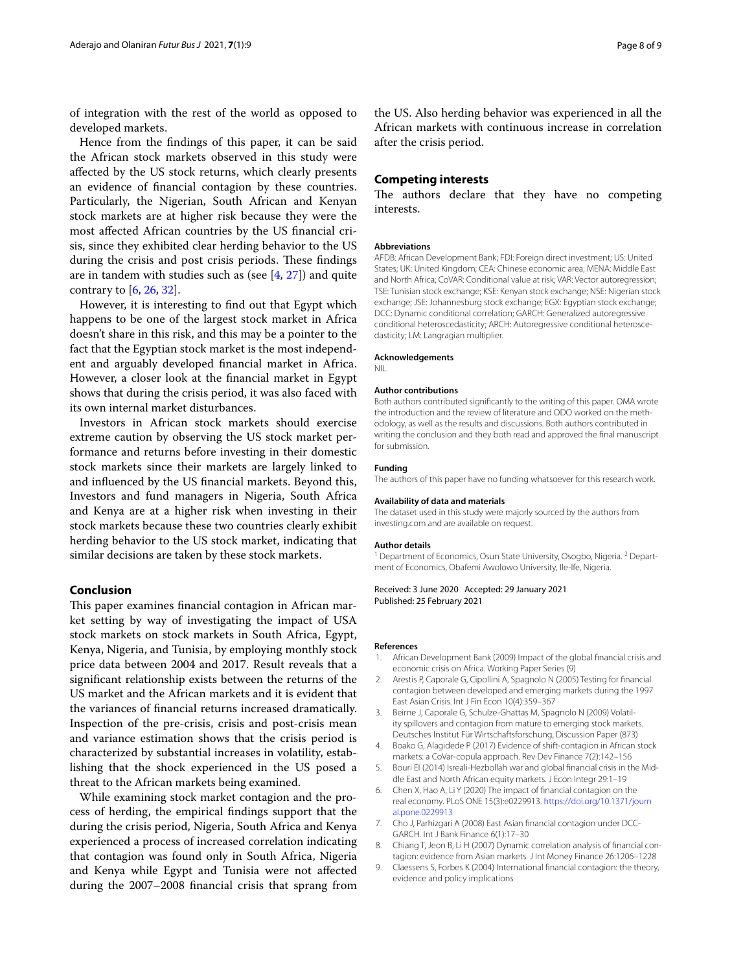of integration with the rest of the world as opposed to developed markets.

Hence from the fndings of this paper, it can be said the African stock markets observed in this study were afected by the US stock returns, which clearly presents an evidence of fnancial contagion by these countries. Particularly, the Nigerian, South African and Kenyan stock markets are at higher risk because they were the most afected African countries by the US fnancial crisis, since they exhibited clear herding behavior to the US during the crisis and post crisis periods. These findings are in tandem with studies such as (see  $[4, 27]$  $[4, 27]$  $[4, 27]$ ) and quite contrary to  $[6, 26, 32]$  $[6, 26, 32]$  $[6, 26, 32]$  $[6, 26, 32]$  $[6, 26, 32]$  $[6, 26, 32]$ .

However, it is interesting to fnd out that Egypt which happens to be one of the largest stock market in Africa doesn't share in this risk, and this may be a pointer to the fact that the Egyptian stock market is the most independent and arguably developed fnancial market in Africa. However, a closer look at the fnancial market in Egypt shows that during the crisis period, it was also faced with its own internal market disturbances.

Investors in African stock markets should exercise extreme caution by observing the US stock market performance and returns before investing in their domestic stock markets since their markets are largely linked to and infuenced by the US fnancial markets. Beyond this, Investors and fund managers in Nigeria, South Africa and Kenya are at a higher risk when investing in their stock markets because these two countries clearly exhibit herding behavior to the US stock market, indicating that similar decisions are taken by these stock markets.

#### **Conclusion**

This paper examines financial contagion in African market setting by way of investigating the impact of USA stock markets on stock markets in South Africa, Egypt, Kenya, Nigeria, and Tunisia, by employing monthly stock price data between 2004 and 2017. Result reveals that a signifcant relationship exists between the returns of the US market and the African markets and it is evident that the variances of fnancial returns increased dramatically. Inspection of the pre-crisis, crisis and post-crisis mean and variance estimation shows that the crisis period is characterized by substantial increases in volatility, establishing that the shock experienced in the US posed a threat to the African markets being examined.

While examining stock market contagion and the process of herding, the empirical fndings support that the during the crisis period, Nigeria, South Africa and Kenya experienced a process of increased correlation indicating that contagion was found only in South Africa, Nigeria and Kenya while Egypt and Tunisia were not afected during the 2007–2008 fnancial crisis that sprang from

the US. Also herding behavior was experienced in all the African markets with continuous increase in correlation after the crisis period.

#### **Competing interests**

The authors declare that they have no competing interests.

#### **Abbreviations**

AFDB: African Development Bank; FDI: Foreign direct investment; US: United States; UK: United Kingdom; CEA: Chinese economic area; MENA: Middle East and North Africa; CoVAR: Conditional value at risk; VAR: Vector autoregression; TSE: Tunisian stock exchange; KSE: Kenyan stock exchange; NSE: Nigerian stock exchange; JSE: Johannesburg stock exchange; EGX: Egyptian stock exchange; DCC: Dynamic conditional correlation; GARCH: Generalized autoregressive conditional heteroscedasticity; ARCH: Autoregressive conditional heteroscedasticity; LM: Langragian multiplier.

#### **Acknowledgements**

NIL.

#### **Author contributions**

Both authors contributed signifcantly to the writing of this paper. OMA wrote the introduction and the review of literature and ODO worked on the methodology, as well as the results and discussions. Both authors contributed in writing the conclusion and they both read and approved the final manuscript for submission.

#### **Funding**

The authors of this paper have no funding whatsoever for this research work.

#### **Availability of data and materials**

The dataset used in this study were majorly sourced by the authors from investing.com and are available on request.

#### **Author details**

<sup>1</sup> Department of Economics, Osun State University, Osogbo, Nigeria. <sup>2</sup> Department of Economics, Obafemi Awolowo University, Ile-Ife, Nigeria.

Received: 3 June 2020 Accepted: 29 January 2021 Published: 25 February 2021

#### **References**

- <span id="page-7-4"></span>1. African Development Bank (2009) Impact of the global fnancial crisis and economic crisis on Africa. Working Paper Series (9)
- <span id="page-7-5"></span>Arestis P, Caporale G, Cipollini A, Spagnolo N (2005) Testing for financial contagion between developed and emerging markets during the 1997 East Asian Crisis. Int J Fin Econ 10(4):359–367
- <span id="page-7-7"></span>3. Beirne J, Caporale G, Schulze-Ghattas M, Spagnolo N (2009) Volatility spillovers and contagion from mature to emerging stock markets. Deutsches Institut Für Wirtschaftsforschung, Discussion Paper (873)
- <span id="page-7-2"></span>4. Boako G, Alagidede P (2017) Evidence of shift-contagion in African stock markets: a CoVar-copula approach. Rev Dev Finance 7(2):142–156
- <span id="page-7-1"></span>5. Bouri EI (2014) Isreali-Hezbollah war and global fnancial crisis in the Middle East and North African equity markets. J Econ Integr 29:1–19
- <span id="page-7-0"></span>6. Chen X, Hao A, Li Y (2020) The impact of fnancial contagion on the real economy. PLoS ONE 15(3):e0229913. [https://doi.org/10.1371/journ](https://doi.org/10.1371/journal.pone.0229913) [al.pone.0229913](https://doi.org/10.1371/journal.pone.0229913)
- 7. Cho J, Parhizgari A (2008) East Asian fnancial contagion under DCC-GARCH. Int J Bank Finance 6(1):17–30
- <span id="page-7-6"></span>8. Chiang T, Jeon B, Li H (2007) Dynamic correlation analysis of financial contagion: evidence from Asian markets. J Int Money Finance 26:1206–1228
- <span id="page-7-3"></span>Claessens S, Forbes K (2004) International financial contagion: the theory, evidence and policy implications